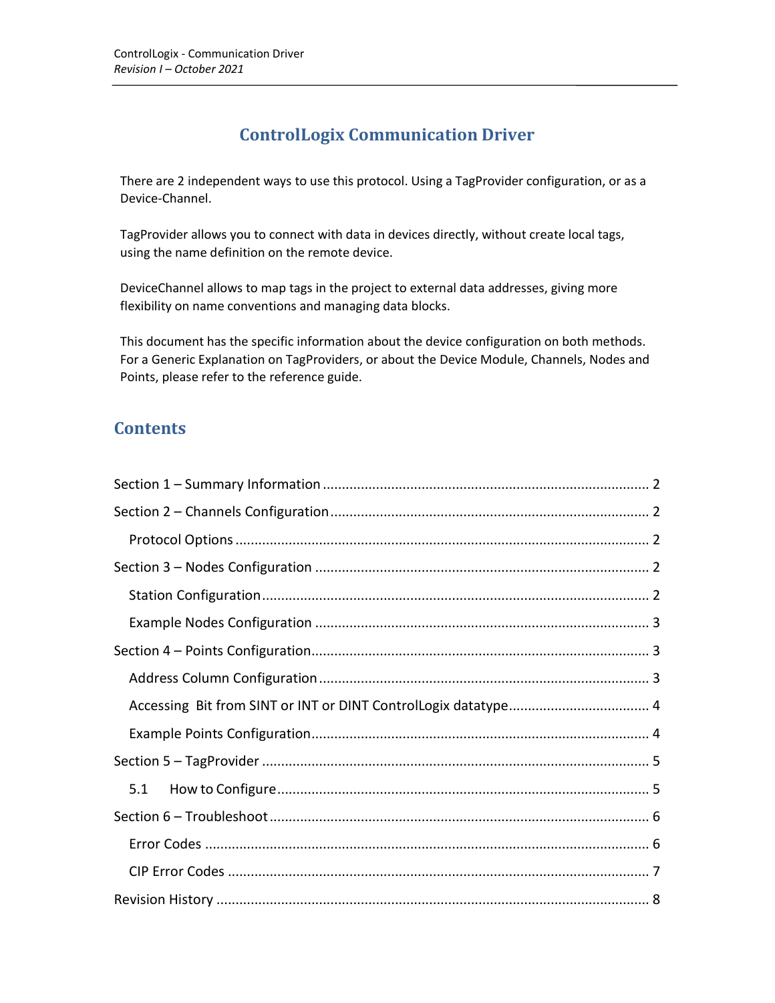# **ControlLogix Communication Driver**

There are 2 independent ways to use this protocol. Using a TagProvider configuration, or as a Device-Channel.

TagProvider allows you to connect with data in devices directly, without create local tags, using the name definition on the remote device.

DeviceChannel allows to map tags in the project to external data addresses, giving more flexibility on name conventions and managing data blocks.

This document has the specific information about the device configuration on both methods. For a Generic Explanation on TagProviders, or about the Device Module, Channels, Nodes and Points, please refer to the reference guide.

# **Contents**

| 5.1 |
|-----|
|     |
|     |
|     |
|     |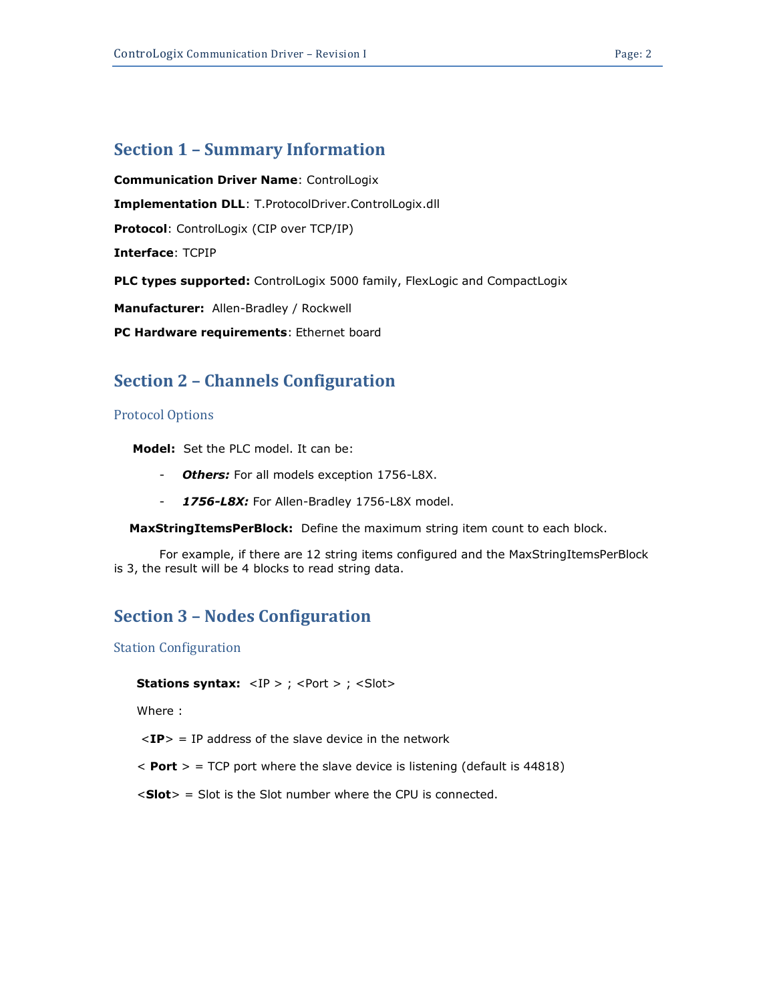## **Section 1 – Summary Information**

**Communication Driver Name**: ControlLogix **Implementation DLL**: T.ProtocolDriver.ControlLogix.dll **Protocol**: ControlLogix (CIP over TCP/IP) **Interface**: TCPIP **PLC types supported:** ControlLogix 5000 family, FlexLogic and CompactLogix **Manufacturer:** Allen-Bradley / Rockwell

**PC Hardware requirements**: Ethernet board

## **Section 2 – Channels Configuration**

#### Protocol Options

 **Model:** Set the PLC model. It can be:

- *Others:* For all models exception 1756-L8X.
- *1756-L8X:* For Allen-Bradley 1756-L8X model.

 **MaxStringItemsPerBlock:** Define the maximum string item count to each block.

For example, if there are 12 string items configured and the MaxStringItemsPerBlock is 3, the result will be 4 blocks to read string data.

## **Section 3 – Nodes Configuration**

Station Configuration

**Stations syntax:** <IP > ; <Port > ; <Slot>

Where :

 $\langle$ **IP** $>$  = IP address of the slave device in the network

 $<$  **Port**  $>$  = TCP port where the slave device is listening (default is 44818)

<**Slot**> = Slot is the Slot number where the CPU is connected.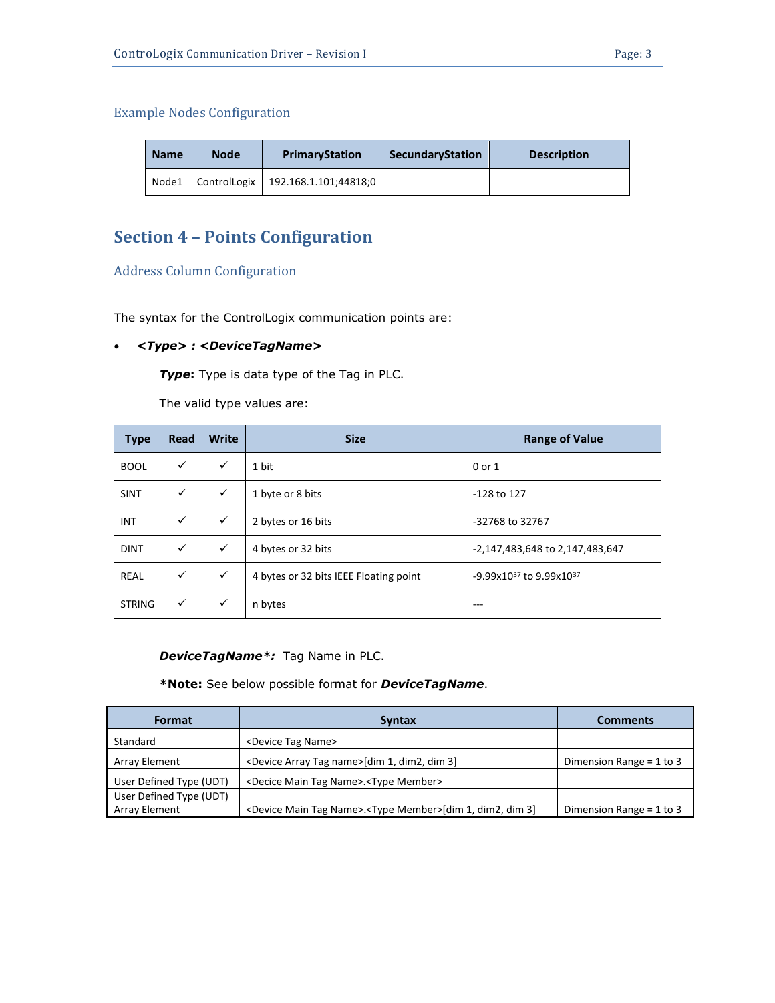### Example Nodes Configuration

| <b>Name</b> | <b>Node</b> | <b>PrimaryStation</b>              | SecundaryStation | <b>Description</b> |
|-------------|-------------|------------------------------------|------------------|--------------------|
| Node1       |             | ControlLogix 192.168.1.101;44818;0 |                  |                    |

# **Section 4 – Points Configuration**

Address Column Configuration

The syntax for the ControlLogix communication points are:

### • *<Type> : <DeviceTagName>*

*Type***:** Type is data type of the Tag in PLC.

The valid type values are:

| <b>Type</b>   | Read         | <b>Write</b> | <b>Size</b>                            | <b>Range of Value</b>                    |
|---------------|--------------|--------------|----------------------------------------|------------------------------------------|
| <b>BOOL</b>   | $\checkmark$ | ✓            | 1 bit                                  | 0 or 1                                   |
| <b>SINT</b>   | $\checkmark$ | ✓            | 1 byte or 8 bits                       | -128 to 127                              |
| INT           | $\checkmark$ | $\checkmark$ | 2 bytes or 16 bits                     | -32768 to 32767                          |
| <b>DINT</b>   | $\checkmark$ | $\checkmark$ | 4 bytes or 32 bits                     | -2,147,483,648 to 2,147,483,647          |
| <b>REAL</b>   | $\checkmark$ | $\checkmark$ | 4 bytes or 32 bits IEEE Floating point | $-9.99x10^{37}$ to 9.99x10 <sup>37</sup> |
| <b>STRING</b> | $\checkmark$ | ✓            | n bytes                                | $- - -$                                  |

*DeviceTagName\*:* Tag Name in PLC.

### **\*Note:** See below possible format for *DeviceTagName*.

| Format                  | <b>Syntax</b>                                                                        | <b>Comments</b>              |
|-------------------------|--------------------------------------------------------------------------------------|------------------------------|
| Standard                | <device name="" tag=""></device>                                                     |                              |
| <b>Array Element</b>    | <device array="" name="" tag="">[dim 1, dim2, dim 3]</device>                        | Dimension Range = $1$ to $3$ |
| User Defined Type (UDT) | <decice main="" name="" tag="">.<type member=""></type></decice>                     |                              |
| User Defined Type (UDT) |                                                                                      |                              |
| <b>Array Element</b>    | <device main="" name="" tag="">.<type member="">[dim 1, dim2, dim 3]</type></device> | Dimension Range = $1$ to $3$ |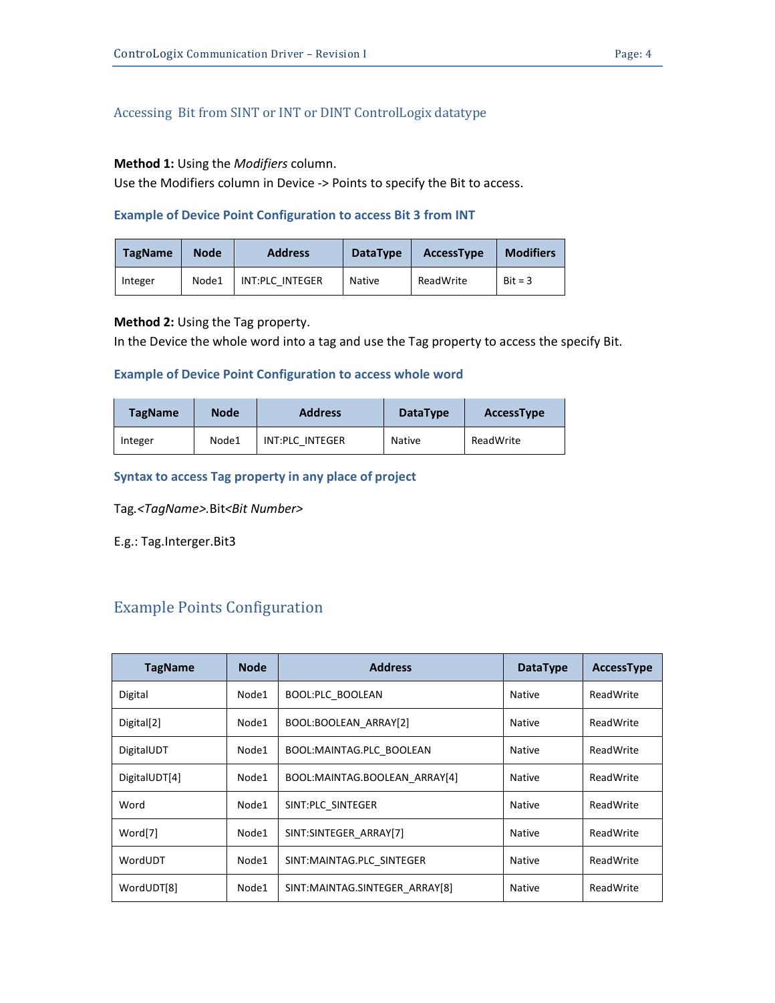### **Method 1:** Using the *Modifiers* column.

Use the Modifiers column in Device -> Points to specify the Bit to access.

### **Example of Device Point Configuration to access Bit 3 from INT**

| <b>TagName</b> | <b>Node</b> | <b>Address</b>  | <b>DataType</b> | <b>AccessType</b> | <b>Modifiers</b> |
|----------------|-------------|-----------------|-----------------|-------------------|------------------|
| Integer        | Node1       | INT:PLC INTEGER | <b>Native</b>   | ReadWrite         | $Bit = 3$        |

## **Method 2:** Using the Tag property.

In the Device the whole word into a tag and use the Tag property to access the specify Bit.

### **Example of Device Point Configuration to access whole word**

| <b>TagName</b> | <b>Node</b> | <b>Address</b>  | <b>DataType</b> | <b>AccessType</b> |
|----------------|-------------|-----------------|-----------------|-------------------|
| Integer        | Node1       | INT:PLC INTEGER | Native          | ReadWrite         |

### **Syntax to access Tag property in any place of project**

Tag*.<TagName>.*Bit*<Bit Number>*

E.g.: Tag.Interger.Bit3

## Example Points Configuration

| <b>TagName</b>         | <b>Node</b> | <b>Address</b>                 | <b>DataType</b> | <b>AccessType</b> |
|------------------------|-------------|--------------------------------|-----------------|-------------------|
| Digital                | Node1       | <b>BOOL:PLC BOOLEAN</b>        | <b>Native</b>   | ReadWrite         |
| Digital <sup>[2]</sup> | Node1       | BOOL:BOOLEAN ARRAY[2]          | Native          | ReadWrite         |
| DigitalUDT             | Node1       | BOOL:MAINTAG.PLC_BOOLEAN       | Native          | ReadWrite         |
| DigitalUDT[4]          | Node1       | BOOL:MAINTAG.BOOLEAN ARRAY[4]  | Native          | ReadWrite         |
| Word                   | Node1       | SINT:PLC SINTEGER              | Native          | ReadWrite         |
| Word[7]                | Node1       | SINT:SINTEGER ARRAY[7]         | Native          | ReadWrite         |
| WordUDT                | Node1       | SINT:MAINTAG.PLC_SINTEGER      | Native          | ReadWrite         |
| WordUDT[8]             | Node1       | SINT:MAINTAG.SINTEGER ARRAY[8] | Native          | ReadWrite         |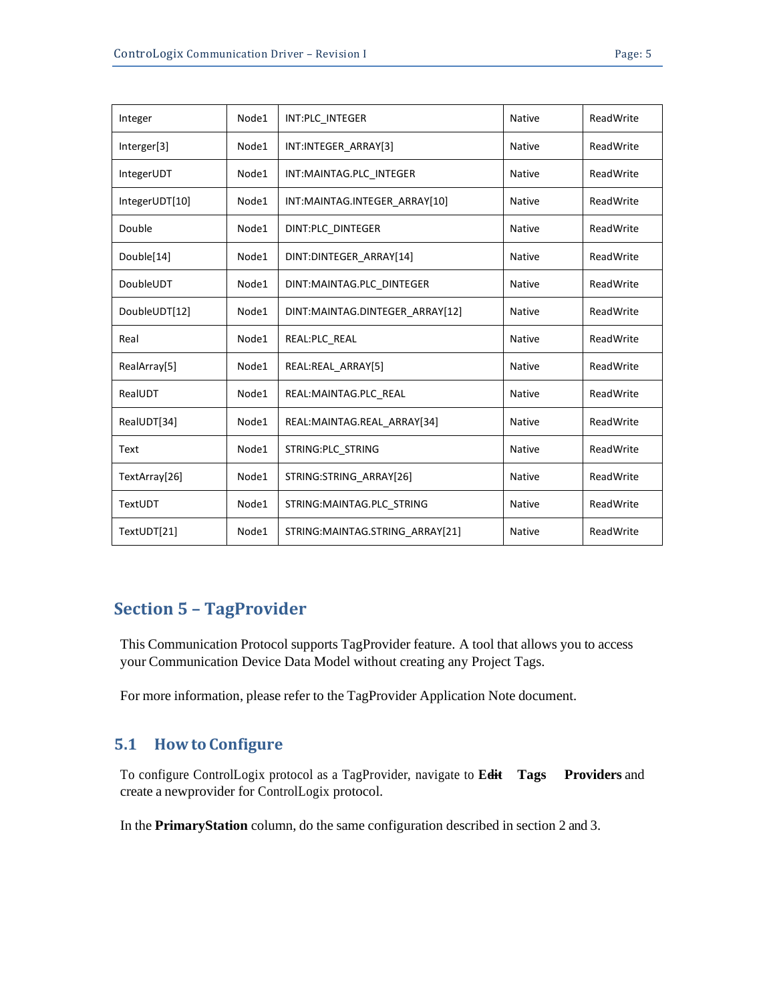| Integer        | Node1 | INT:PLC INTEGER                   | <b>Native</b> | ReadWrite |
|----------------|-------|-----------------------------------|---------------|-----------|
| Interger[3]    | Node1 | INT:INTEGER ARRAY[3]              | <b>Native</b> | ReadWrite |
| IntegerUDT     | Node1 | INT:MAINTAG.PLC INTEGER           | <b>Native</b> | ReadWrite |
| IntegerUDT[10] | Node1 | INT:MAINTAG.INTEGER ARRAY[10]     | <b>Native</b> | ReadWrite |
| Double         | Node1 | DINT:PLC_DINTEGER                 | Native        | ReadWrite |
| Double[14]     | Node1 | DINT:DINTEGER_ARRAY[14]           | <b>Native</b> | ReadWrite |
| DoubleUDT      | Node1 | DINT:MAINTAG.PLC DINTEGER         | <b>Native</b> | ReadWrite |
| DoubleUDT[12]  | Node1 | DINT:MAINTAG.DINTEGER_ARRAY[12]   | <b>Native</b> | ReadWrite |
| Real           | Node1 | REAL:PLC_REAL                     | <b>Native</b> | ReadWrite |
| RealArray[5]   | Node1 | REAL:REAL ARRAY[5]                | <b>Native</b> | ReadWrite |
| RealUDT        | Node1 | REAL:MAINTAG.PLC REAL             | <b>Native</b> | ReadWrite |
| RealUDT[34]    | Node1 | REAL:MAINTAG.REAL ARRAY[34]       | <b>Native</b> | ReadWrite |
| Text           | Node1 | STRING:PLC STRING                 | <b>Native</b> | ReadWrite |
| TextArray[26]  | Node1 | STRING:STRING ARRAY[26]           | <b>Native</b> | ReadWrite |
| TextUDT        | Node1 | STRING: MAINTAG. PLC STRING       | <b>Native</b> | ReadWrite |
| TextUDT[21]    | Node1 | STRING: MAINTAG.STRING ARRAY [21] | <b>Native</b> | ReadWrite |

## **Section 5 – TagProvider**

This Communication Protocol supports TagProvider feature. A tool that allows you to access your Communication Device Data Model without creating any Project Tags.

For more information, please refer to the TagProvider Application Note document.

## **5.1 Howto Configure**

→ To configure ControlLogix protocol as a TagProvider, navigate to **Edit Tags Providers** and create a newprovider for ControlLogix protocol.

In the **PrimaryStation** column, do the same configuration described in section 2 and 3.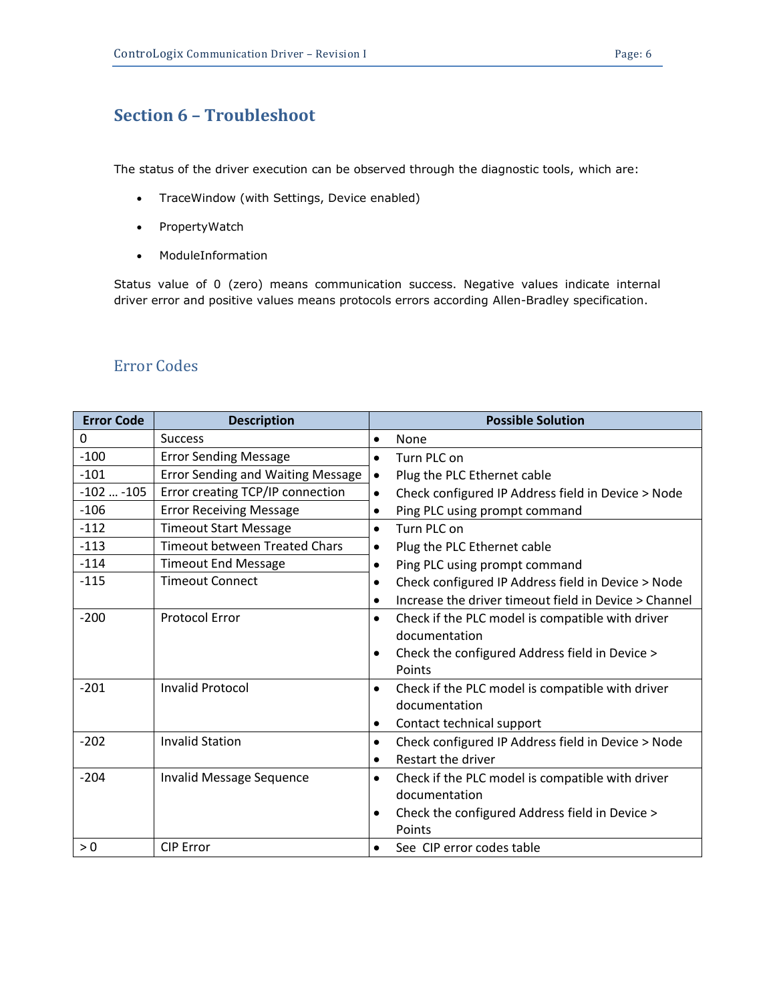# **Section 6 – Troubleshoot**

The status of the driver execution can be observed through the diagnostic tools, which are:

- TraceWindow (with Settings, Device enabled)
- PropertyWatch
- ModuleInformation

Status value of 0 (zero) means communication success. Negative values indicate internal driver error and positive values means protocols errors according Allen-Bradley specification.

## Error Codes

| <b>Error Code</b> | <b>Description</b>                       | <b>Possible Solution</b>                                        |
|-------------------|------------------------------------------|-----------------------------------------------------------------|
| 0                 | <b>Success</b>                           | None<br>$\bullet$                                               |
| $-100$            | <b>Error Sending Message</b>             | Turn PLC on<br>$\bullet$                                        |
| $-101$            | <b>Error Sending and Waiting Message</b> | Plug the PLC Ethernet cable<br>$\bullet$                        |
| $-102$ $-105$     | Error creating TCP/IP connection         | Check configured IP Address field in Device > Node<br>$\bullet$ |
| $-106$            | <b>Error Receiving Message</b>           | Ping PLC using prompt command<br>$\bullet$                      |
| $-112$            | <b>Timeout Start Message</b>             | Turn PLC on<br>$\bullet$                                        |
| $-113$            | <b>Timeout between Treated Chars</b>     | Plug the PLC Ethernet cable<br>$\bullet$                        |
| $-114$            | <b>Timeout End Message</b>               | Ping PLC using prompt command<br>$\bullet$                      |
| $-115$            | <b>Timeout Connect</b>                   | Check configured IP Address field in Device > Node<br>$\bullet$ |
|                   |                                          | Increase the driver timeout field in Device > Channel           |
| $-200$            | <b>Protocol Error</b>                    | Check if the PLC model is compatible with driver<br>$\bullet$   |
|                   |                                          | documentation                                                   |
|                   |                                          | Check the configured Address field in Device >                  |
|                   |                                          | Points                                                          |
| $-201$            | <b>Invalid Protocol</b>                  | Check if the PLC model is compatible with driver<br>$\bullet$   |
|                   |                                          | documentation                                                   |
|                   |                                          | Contact technical support<br>$\bullet$                          |
| $-202$            | <b>Invalid Station</b>                   | Check configured IP Address field in Device > Node<br>$\bullet$ |
|                   |                                          | Restart the driver<br>$\bullet$                                 |
| $-204$            | Invalid Message Sequence                 | Check if the PLC model is compatible with driver<br>$\bullet$   |
|                   |                                          | documentation                                                   |
|                   |                                          | Check the configured Address field in Device ><br>$\bullet$     |
|                   |                                          | Points                                                          |
| > 0               | <b>CIP Error</b>                         | See CIP error codes table<br>$\bullet$                          |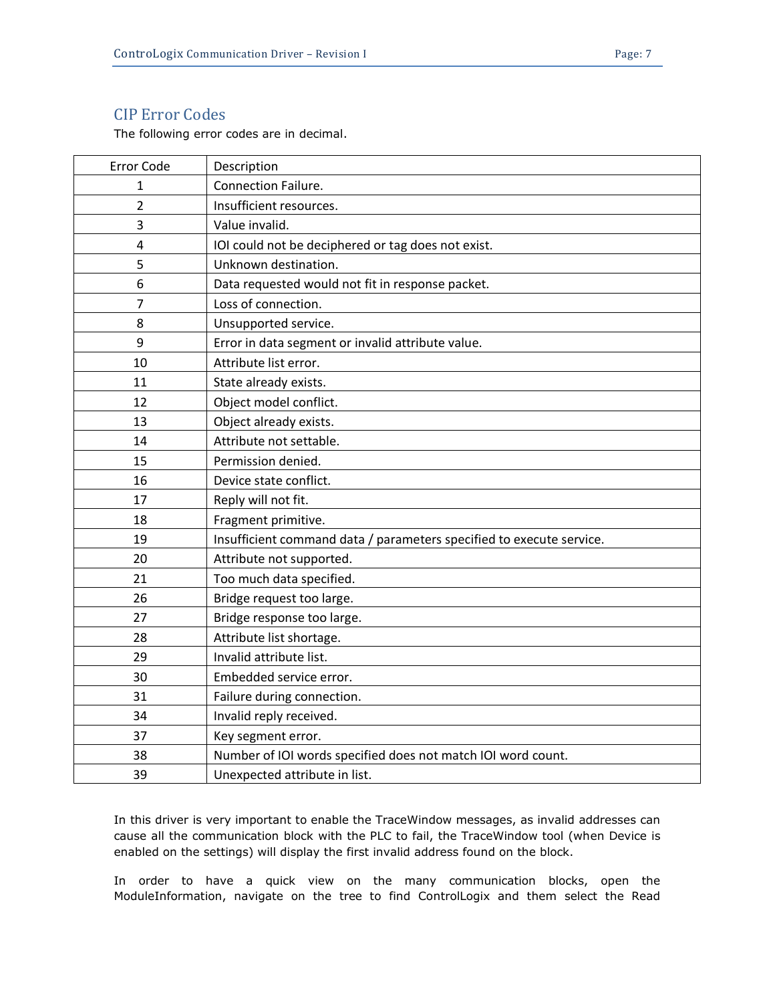## CIP Error Codes

The following error codes are in decimal.

| Error Code     | Description                                                          |
|----------------|----------------------------------------------------------------------|
| 1              | Connection Failure.                                                  |
| $\overline{2}$ | Insufficient resources.                                              |
| 3              | Value invalid.                                                       |
| $\overline{4}$ | IOI could not be deciphered or tag does not exist.                   |
| 5              | Unknown destination.                                                 |
| 6              | Data requested would not fit in response packet.                     |
| 7              | Loss of connection.                                                  |
| 8              | Unsupported service.                                                 |
| 9              | Error in data segment or invalid attribute value.                    |
| 10             | Attribute list error.                                                |
| 11             | State already exists.                                                |
| 12             | Object model conflict.                                               |
| 13             | Object already exists.                                               |
| 14             | Attribute not settable.                                              |
| 15             | Permission denied.                                                   |
| 16             | Device state conflict.                                               |
| 17             | Reply will not fit.                                                  |
| 18             | Fragment primitive.                                                  |
| 19             | Insufficient command data / parameters specified to execute service. |
| 20             | Attribute not supported.                                             |
| 21             | Too much data specified.                                             |
| 26             | Bridge request too large.                                            |
| 27             | Bridge response too large.                                           |
| 28             | Attribute list shortage.                                             |
| 29             | Invalid attribute list.                                              |
| 30             | Embedded service error.                                              |
| 31             | Failure during connection.                                           |
| 34             | Invalid reply received.                                              |
| 37             | Key segment error.                                                   |
| 38             | Number of IOI words specified does not match IOI word count.         |
| 39             | Unexpected attribute in list.                                        |

In this driver is very important to enable the TraceWindow messages, as invalid addresses can cause all the communication block with the PLC to fail, the TraceWindow tool (when Device is enabled on the settings) will display the first invalid address found on the block.

In order to have a quick view on the many communication blocks, open the ModuleInformation, navigate on the tree to find ControlLogix and them select the Read